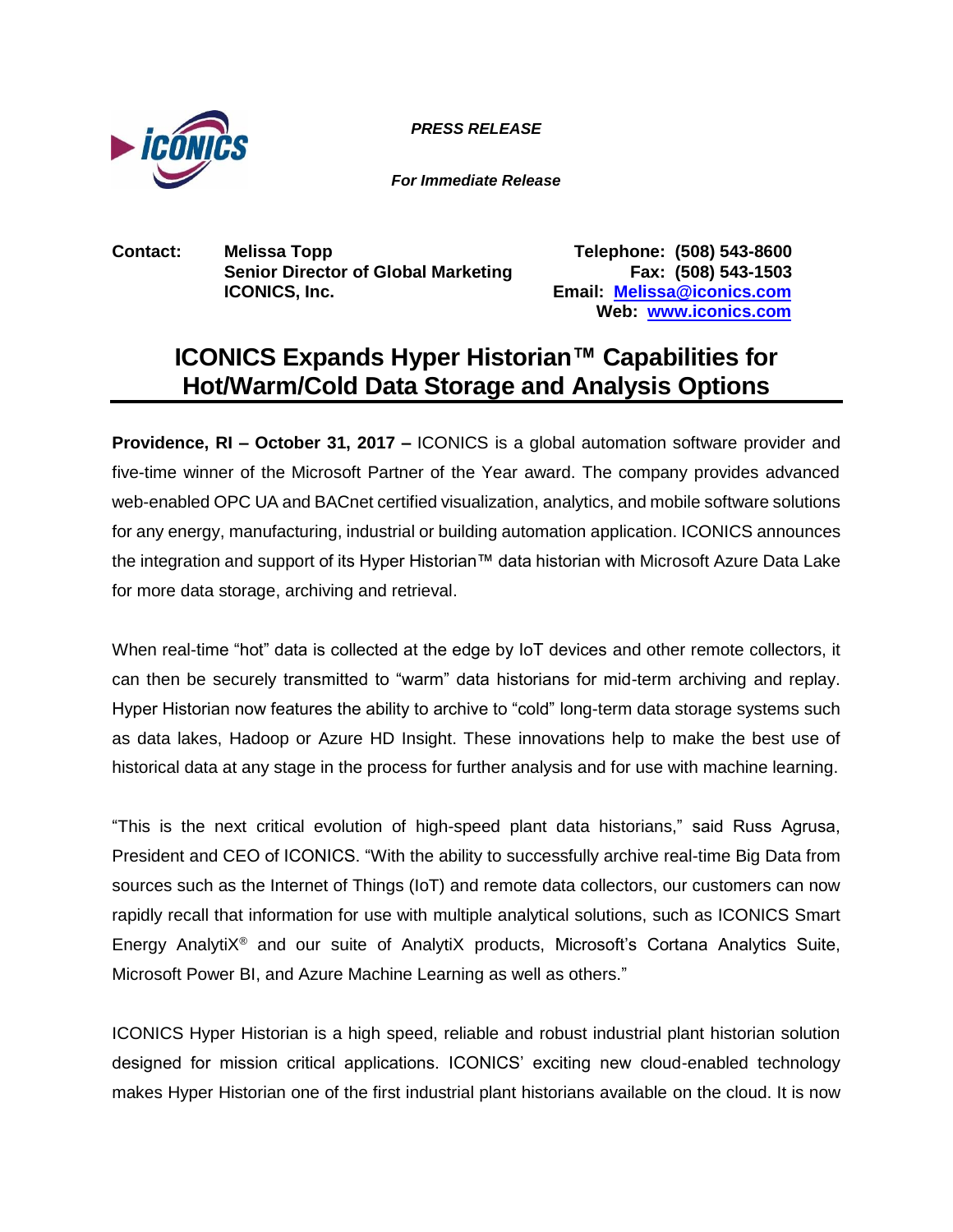

*PRESS RELEASE PRESS RELEASE*

*For Immediate Release*

**Contact: Melissa Topp Telephone: (508) 543-8600 Senior Director of Global Marketing Fax: (508) 543-1503 ICONICS, Inc. Email: [Melissa@iconics.com](mailto:Melissa@iconics.com)**

**Web: [www.iconics.com](http://www.iconics.com/)**

## **ICONICS Expands Hyper Historian™ Capabilities for Hot/Warm/Cold Data Storage and Analysis Options**

**Providence, RI – October 31, 2017 –** ICONICS is a global automation software provider and five-time winner of the Microsoft Partner of the Year award. The company provides advanced web-enabled OPC UA and BACnet certified visualization, analytics, and mobile software solutions for any energy, manufacturing, industrial or building automation application. ICONICS announces the integration and support of its Hyper Historian™ data historian with Microsoft Azure Data Lake for more data storage, archiving and retrieval.

When real-time "hot" data is collected at the edge by IoT devices and other remote collectors, it can then be securely transmitted to "warm" data historians for mid-term archiving and replay. Hyper Historian now features the ability to archive to "cold" long-term data storage systems such as data lakes, Hadoop or Azure HD Insight. These innovations help to make the best use of historical data at any stage in the process for further analysis and for use with machine learning.

"This is the next critical evolution of high-speed plant data historians," said Russ Agrusa, President and CEO of ICONICS. "With the ability to successfully archive real-time Big Data from sources such as the Internet of Things (IoT) and remote data collectors, our customers can now rapidly recall that information for use with multiple analytical solutions, such as ICONICS Smart Energy AnalytiX® and our suite of AnalytiX products, Microsoft's Cortana Analytics Suite, Microsoft Power BI, and Azure Machine Learning as well as others."

ICONICS Hyper Historian is a high speed, reliable and robust industrial plant historian solution designed for mission critical applications. ICONICS' exciting new cloud-enabled technology makes Hyper Historian one of the first industrial plant historians available on the cloud. It is now